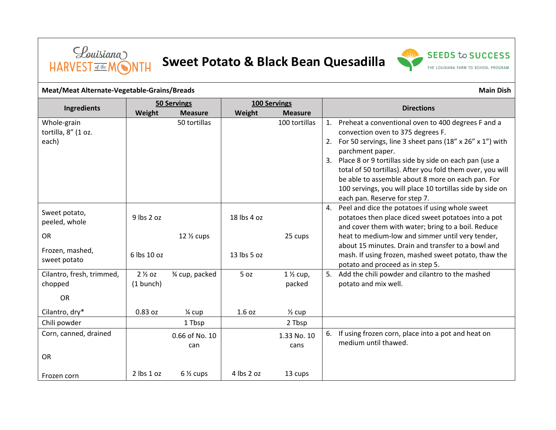

## **Sweet Potato & Black Bean Quesadilla**



## **Meat/Meat Alternate-Vegetable-Grains/Breads** Main Dish **Meat/Meat Alternate-Vegetable-Grains/Breads** Main Dish

| <b>Ingredients</b>                          | <b>50 Servings</b>               |                       | <b>100 Servings</b> |                      | <b>Directions</b> |                                                                                                                                                                                                                                                                                                                                                                                                                                                       |
|---------------------------------------------|----------------------------------|-----------------------|---------------------|----------------------|-------------------|-------------------------------------------------------------------------------------------------------------------------------------------------------------------------------------------------------------------------------------------------------------------------------------------------------------------------------------------------------------------------------------------------------------------------------------------------------|
|                                             | Weight                           | <b>Measure</b>        | Weight              | <b>Measure</b>       |                   |                                                                                                                                                                                                                                                                                                                                                                                                                                                       |
| Whole-grain<br>tortilla, 8" (1 oz.<br>each) |                                  | 50 tortillas          |                     | 100 tortillas        | 2.                | Preheat a conventional oven to 400 degrees F and a<br>convection oven to 375 degrees F.<br>For 50 servings, line 3 sheet pans (18" x 26" x 1") with<br>parchment paper.<br>3. Place 8 or 9 tortillas side by side on each pan (use a<br>total of 50 tortillas). After you fold them over, you will<br>be able to assemble about 8 more on each pan. For<br>100 servings, you will place 10 tortillas side by side on<br>each pan. Reserve for step 7. |
| Sweet potato,<br>peeled, whole              | 9 lbs 2 oz                       |                       | 18 lbs 4 oz         |                      | 4.                | Peel and dice the potatoes if using whole sweet<br>potatoes then place diced sweet potatoes into a pot<br>and cover them with water; bring to a boil. Reduce                                                                                                                                                                                                                                                                                          |
| <b>OR</b>                                   |                                  | $12\%$ cups           |                     | 25 cups              |                   | heat to medium-low and simmer until very tender,                                                                                                                                                                                                                                                                                                                                                                                                      |
| Frozen, mashed,<br>sweet potato             | 6 lbs 10 oz                      |                       | 13 lbs 5 oz         |                      |                   | about 15 minutes. Drain and transfer to a bowl and<br>mash. If using frozen, mashed sweet potato, thaw the<br>potato and proceed as in step 5.                                                                                                                                                                                                                                                                                                        |
| Cilantro, fresh, trimmed,<br>chopped        | $2\frac{1}{2}$ oz<br>$(1$ bunch) | 3⁄4 cup, packed       | 5 oz                | $1\%$ cup,<br>packed | 5.                | Add the chili powder and cilantro to the mashed<br>potato and mix well.                                                                                                                                                                                                                                                                                                                                                                               |
| <b>OR</b>                                   |                                  |                       |                     |                      |                   |                                                                                                                                                                                                                                                                                                                                                                                                                                                       |
| Cilantro, dry*                              | 0.83 oz                          | $\frac{1}{4}$ cup     | 1.6 oz              | $\frac{1}{2}$ cup    |                   |                                                                                                                                                                                                                                                                                                                                                                                                                                                       |
| Chili powder                                |                                  | 1 Tbsp                |                     | 2 Tbsp               |                   |                                                                                                                                                                                                                                                                                                                                                                                                                                                       |
| Corn, canned, drained                       |                                  | 0.66 of No. 10<br>can |                     | 1.33 No. 10<br>cans  | 6.                | If using frozen corn, place into a pot and heat on<br>medium until thawed.                                                                                                                                                                                                                                                                                                                                                                            |
| <b>OR</b>                                   |                                  |                       |                     |                      |                   |                                                                                                                                                                                                                                                                                                                                                                                                                                                       |
| Frozen corn                                 | 2 lbs 1 oz                       | $6\frac{1}{2}$ cups   | 4 lbs 2 oz          | 13 cups              |                   |                                                                                                                                                                                                                                                                                                                                                                                                                                                       |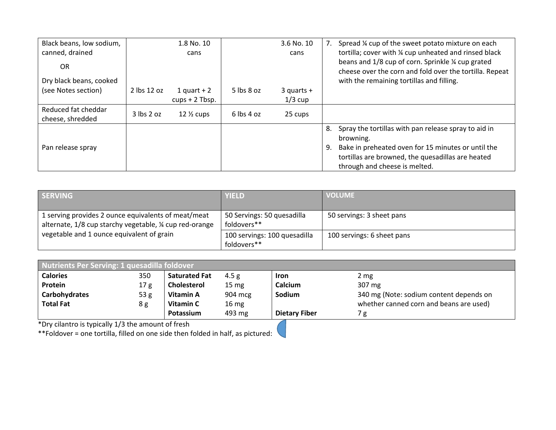| Black beans, low sodium,                |                | 1.8 No. 10       |                | 3.6 No. 10     |    | Spread % cup of the sweet potato mixture on each                                                                                                           |
|-----------------------------------------|----------------|------------------|----------------|----------------|----|------------------------------------------------------------------------------------------------------------------------------------------------------------|
| canned, drained                         |                | cans             |                | cans           |    | tortilla; cover with % cup unheated and rinsed black                                                                                                       |
| OR.<br>Dry black beans, cooked          |                |                  |                |                |    | beans and 1/8 cup of corn. Sprinkle 1/4 cup grated<br>cheese over the corn and fold over the tortilla. Repeat<br>with the remaining tortillas and filling. |
| (see Notes section)                     | 2 lbs 12 oz    | 1 quart $+2$     | $5$ lbs $8$ oz | $3$ quarts $+$ |    |                                                                                                                                                            |
|                                         |                | $cups + 2$ Tbsp. |                | $1/3$ cup      |    |                                                                                                                                                            |
| Reduced fat cheddar<br>cheese, shredded | $3$ lbs $2$ oz | $12\%$ cups      | $6$ lbs 4 oz   | 25 cups        |    |                                                                                                                                                            |
|                                         |                |                  |                |                | 8. | Spray the tortillas with pan release spray to aid in<br>browning.                                                                                          |
| Pan release spray                       |                |                  |                |                | 9. | Bake in preheated oven for 15 minutes or until the<br>tortillas are browned, the quesadillas are heated<br>through and cheese is melted.                   |

| <b>SERVING</b>                                         | <b>YIELD</b>                 | <b>VOLUME</b>              |
|--------------------------------------------------------|------------------------------|----------------------------|
|                                                        |                              |                            |
| 1 serving provides 2 ounce equivalents of meat/meat    | 50 Servings: 50 quesadilla   | 50 servings: 3 sheet pans  |
| alternate, 1/8 cup starchy vegetable, ¼ cup red-orange | foldovers**                  |                            |
| vegetable and 1 ounce equivalent of grain              | 100 servings: 100 quesadilla | 100 servings: 6 sheet pans |
|                                                        | foldovers**                  |                            |

| Nutrients Per Serving: 1 quesadilla foldover |                 |                      |                  |                      |                                         |  |
|----------------------------------------------|-----------------|----------------------|------------------|----------------------|-----------------------------------------|--|
| <b>Calories</b>                              | 350             | <b>Saturated Fat</b> | 4.5 g            | Iron                 | 2 mg                                    |  |
| Protein                                      | 17 <sub>g</sub> | <b>Cholesterol</b>   | $15 \text{ mg}$  | Calcium              | 307 mg                                  |  |
| Carbohydrates                                | 53 <sub>g</sub> | Vitamin A            | 904 mcg          | Sodium               | 340 mg (Note: sodium content depends on |  |
| <b>Total Fat</b>                             | 8g              | Vitamin C            | 16 <sub>mg</sub> |                      | whether canned corn and beans are used) |  |
|                                              |                 | Potassium            | 493 mg           | <b>Dietary Fiber</b> | / g                                     |  |

\*Dry cilantro is typically 1/3 the amount of fresh

\*\*Foldover = one tortilla, filled on one side then folded in half, as pictured: